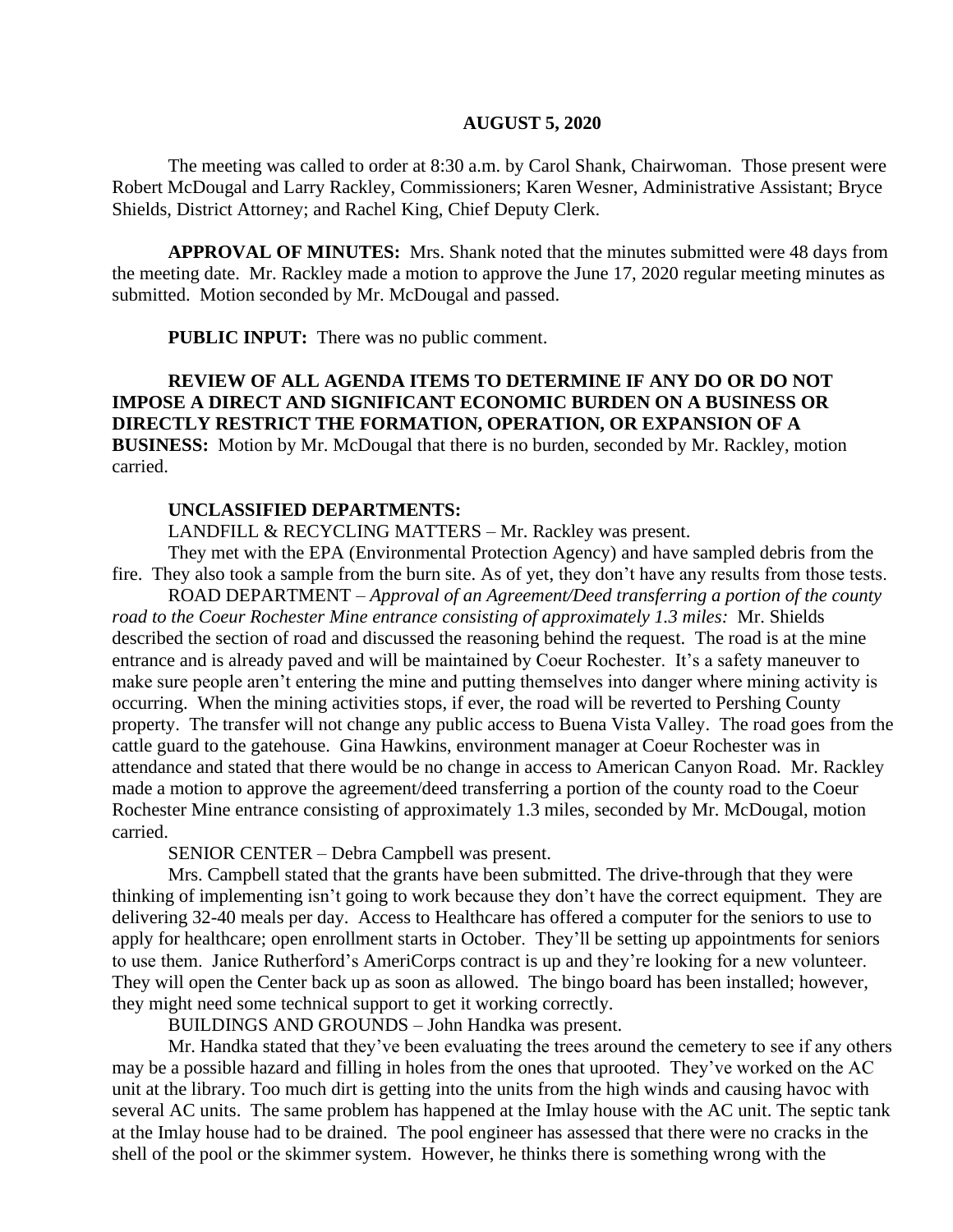#### **AUGUST 5, 2020**

The meeting was called to order at 8:30 a.m. by Carol Shank, Chairwoman. Those present were Robert McDougal and Larry Rackley, Commissioners; Karen Wesner, Administrative Assistant; Bryce Shields, District Attorney; and Rachel King, Chief Deputy Clerk.

**APPROVAL OF MINUTES:** Mrs. Shank noted that the minutes submitted were 48 days from the meeting date. Mr. Rackley made a motion to approve the June 17, 2020 regular meeting minutes as submitted. Motion seconded by Mr. McDougal and passed.

**PUBLIC INPUT:** There was no public comment.

**REVIEW OF ALL AGENDA ITEMS TO DETERMINE IF ANY DO OR DO NOT IMPOSE A DIRECT AND SIGNIFICANT ECONOMIC BURDEN ON A BUSINESS OR DIRECTLY RESTRICT THE FORMATION, OPERATION, OR EXPANSION OF A BUSINESS:** Motion by Mr. McDougal that there is no burden, seconded by Mr. Rackley, motion carried.

#### **UNCLASSIFIED DEPARTMENTS:**

LANDFILL & RECYCLING MATTERS – Mr. Rackley was present.

They met with the EPA (Environmental Protection Agency) and have sampled debris from the fire. They also took a sample from the burn site. As of yet, they don't have any results from those tests.

ROAD DEPARTMENT – *Approval of an Agreement/Deed transferring a portion of the county road to the Coeur Rochester Mine entrance consisting of approximately 1.3 miles:* Mr. Shields described the section of road and discussed the reasoning behind the request. The road is at the mine entrance and is already paved and will be maintained by Coeur Rochester. It's a safety maneuver to make sure people aren't entering the mine and putting themselves into danger where mining activity is occurring. When the mining activities stops, if ever, the road will be reverted to Pershing County property. The transfer will not change any public access to Buena Vista Valley. The road goes from the cattle guard to the gatehouse. Gina Hawkins, environment manager at Coeur Rochester was in attendance and stated that there would be no change in access to American Canyon Road. Mr. Rackley made a motion to approve the agreement/deed transferring a portion of the county road to the Coeur Rochester Mine entrance consisting of approximately 1.3 miles, seconded by Mr. McDougal, motion carried.

SENIOR CENTER – Debra Campbell was present.

Mrs. Campbell stated that the grants have been submitted. The drive-through that they were thinking of implementing isn't going to work because they don't have the correct equipment. They are delivering 32-40 meals per day. Access to Healthcare has offered a computer for the seniors to use to apply for healthcare; open enrollment starts in October. They'll be setting up appointments for seniors to use them. Janice Rutherford's AmeriCorps contract is up and they're looking for a new volunteer. They will open the Center back up as soon as allowed. The bingo board has been installed; however, they might need some technical support to get it working correctly.

BUILDINGS AND GROUNDS – John Handka was present.

Mr. Handka stated that they've been evaluating the trees around the cemetery to see if any others may be a possible hazard and filling in holes from the ones that uprooted. They've worked on the AC unit at the library. Too much dirt is getting into the units from the high winds and causing havoc with several AC units. The same problem has happened at the Imlay house with the AC unit. The septic tank at the Imlay house had to be drained. The pool engineer has assessed that there were no cracks in the shell of the pool or the skimmer system. However, he thinks there is something wrong with the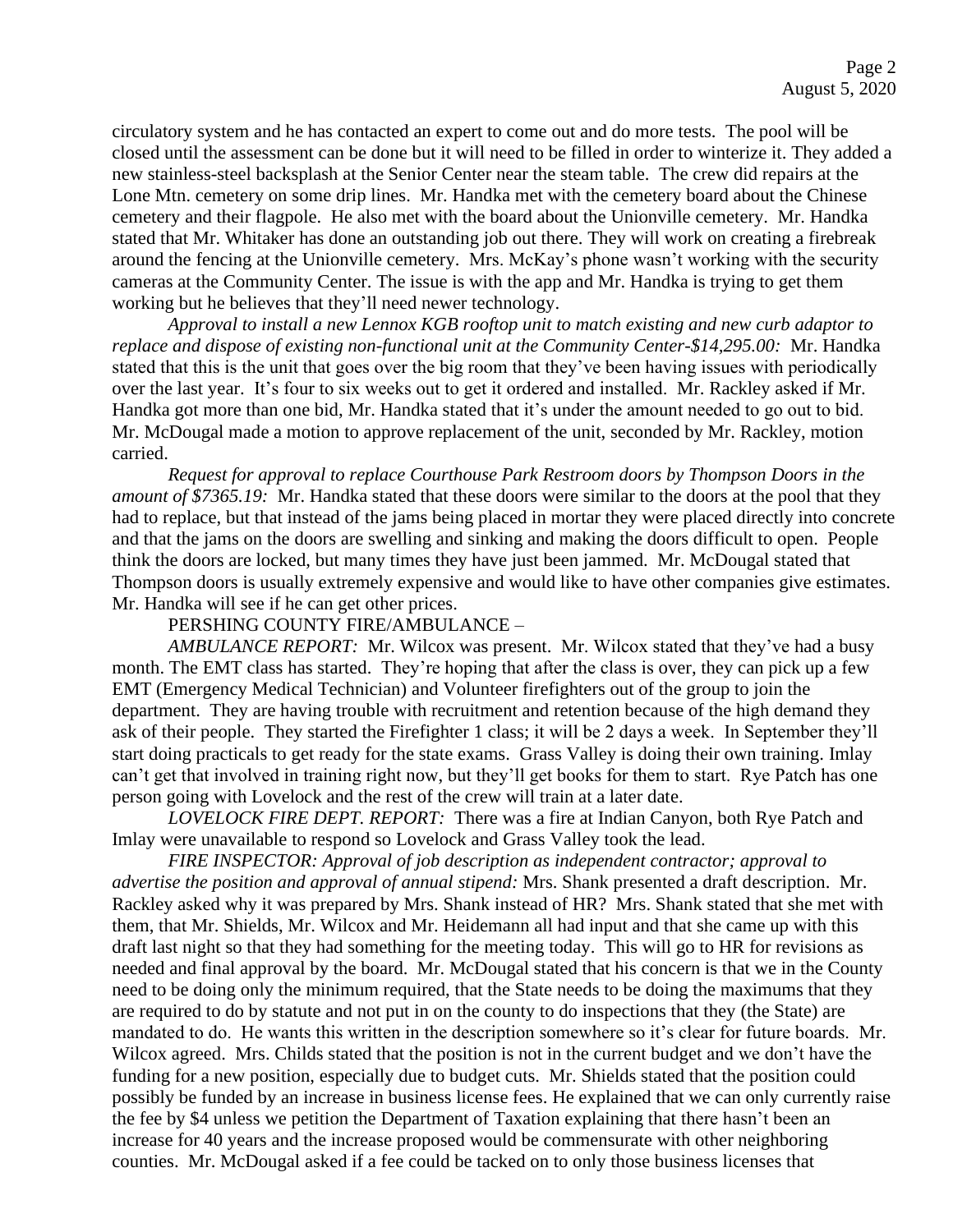circulatory system and he has contacted an expert to come out and do more tests. The pool will be closed until the assessment can be done but it will need to be filled in order to winterize it. They added a new stainless-steel backsplash at the Senior Center near the steam table. The crew did repairs at the Lone Mtn. cemetery on some drip lines. Mr. Handka met with the cemetery board about the Chinese cemetery and their flagpole. He also met with the board about the Unionville cemetery. Mr. Handka stated that Mr. Whitaker has done an outstanding job out there. They will work on creating a firebreak around the fencing at the Unionville cemetery. Mrs. McKay's phone wasn't working with the security cameras at the Community Center. The issue is with the app and Mr. Handka is trying to get them working but he believes that they'll need newer technology.

*Approval to install a new Lennox KGB rooftop unit to match existing and new curb adaptor to replace and dispose of existing non-functional unit at the Community Center-\$14,295.00:* Mr. Handka stated that this is the unit that goes over the big room that they've been having issues with periodically over the last year. It's four to six weeks out to get it ordered and installed. Mr. Rackley asked if Mr. Handka got more than one bid, Mr. Handka stated that it's under the amount needed to go out to bid. Mr. McDougal made a motion to approve replacement of the unit, seconded by Mr. Rackley, motion carried.

*Request for approval to replace Courthouse Park Restroom doors by Thompson Doors in the amount of \$7365.19:* Mr. Handka stated that these doors were similar to the doors at the pool that they had to replace, but that instead of the jams being placed in mortar they were placed directly into concrete and that the jams on the doors are swelling and sinking and making the doors difficult to open. People think the doors are locked, but many times they have just been jammed. Mr. McDougal stated that Thompson doors is usually extremely expensive and would like to have other companies give estimates. Mr. Handka will see if he can get other prices.

PERSHING COUNTY FIRE/AMBULANCE –

*AMBULANCE REPORT:* Mr. Wilcox was present. Mr. Wilcox stated that they've had a busy month. The EMT class has started. They're hoping that after the class is over, they can pick up a few EMT (Emergency Medical Technician) and Volunteer firefighters out of the group to join the department. They are having trouble with recruitment and retention because of the high demand they ask of their people. They started the Firefighter 1 class; it will be 2 days a week. In September they'll start doing practicals to get ready for the state exams. Grass Valley is doing their own training. Imlay can't get that involved in training right now, but they'll get books for them to start. Rye Patch has one person going with Lovelock and the rest of the crew will train at a later date.

*LOVELOCK FIRE DEPT. REPORT:* There was a fire at Indian Canyon, both Rye Patch and Imlay were unavailable to respond so Lovelock and Grass Valley took the lead.

*FIRE INSPECTOR: Approval of job description as independent contractor; approval to advertise the position and approval of annual stipend:* Mrs. Shank presented a draft description. Mr. Rackley asked why it was prepared by Mrs. Shank instead of HR? Mrs. Shank stated that she met with them, that Mr. Shields, Mr. Wilcox and Mr. Heidemann all had input and that she came up with this draft last night so that they had something for the meeting today. This will go to HR for revisions as needed and final approval by the board. Mr. McDougal stated that his concern is that we in the County need to be doing only the minimum required, that the State needs to be doing the maximums that they are required to do by statute and not put in on the county to do inspections that they (the State) are mandated to do. He wants this written in the description somewhere so it's clear for future boards. Mr. Wilcox agreed. Mrs. Childs stated that the position is not in the current budget and we don't have the funding for a new position, especially due to budget cuts. Mr. Shields stated that the position could possibly be funded by an increase in business license fees. He explained that we can only currently raise the fee by \$4 unless we petition the Department of Taxation explaining that there hasn't been an increase for 40 years and the increase proposed would be commensurate with other neighboring counties. Mr. McDougal asked if a fee could be tacked on to only those business licenses that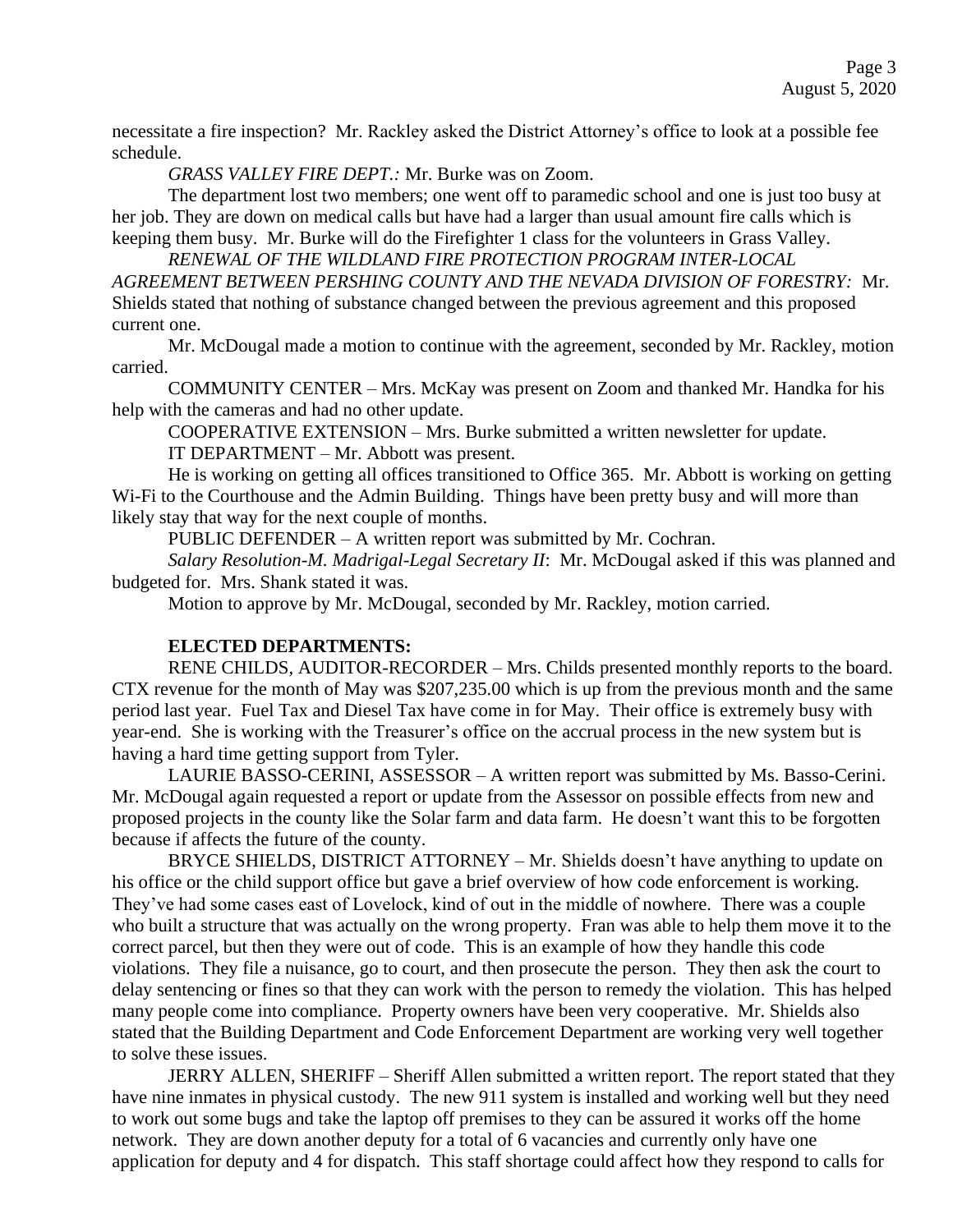necessitate a fire inspection? Mr. Rackley asked the District Attorney's office to look at a possible fee schedule.

*GRASS VALLEY FIRE DEPT.:* Mr. Burke was on Zoom.

The department lost two members; one went off to paramedic school and one is just too busy at her job. They are down on medical calls but have had a larger than usual amount fire calls which is keeping them busy. Mr. Burke will do the Firefighter 1 class for the volunteers in Grass Valley.

*RENEWAL OF THE WILDLAND FIRE PROTECTION PROGRAM INTER-LOCAL AGREEMENT BETWEEN PERSHING COUNTY AND THE NEVADA DIVISION OF FORESTRY:* Mr. Shields stated that nothing of substance changed between the previous agreement and this proposed current one.

Mr. McDougal made a motion to continue with the agreement, seconded by Mr. Rackley, motion carried.

COMMUNITY CENTER – Mrs. McKay was present on Zoom and thanked Mr. Handka for his help with the cameras and had no other update.

COOPERATIVE EXTENSION – Mrs. Burke submitted a written newsletter for update.

IT DEPARTMENT – Mr. Abbott was present.

He is working on getting all offices transitioned to Office 365. Mr. Abbott is working on getting Wi-Fi to the Courthouse and the Admin Building. Things have been pretty busy and will more than likely stay that way for the next couple of months.

PUBLIC DEFENDER – A written report was submitted by Mr. Cochran.

*Salary Resolution-M. Madrigal-Legal Secretary II*: Mr. McDougal asked if this was planned and budgeted for. Mrs. Shank stated it was.

Motion to approve by Mr. McDougal, seconded by Mr. Rackley, motion carried.

# **ELECTED DEPARTMENTS:**

RENE CHILDS, AUDITOR-RECORDER – Mrs. Childs presented monthly reports to the board. CTX revenue for the month of May was \$207,235.00 which is up from the previous month and the same period last year. Fuel Tax and Diesel Tax have come in for May. Their office is extremely busy with year-end. She is working with the Treasurer's office on the accrual process in the new system but is having a hard time getting support from Tyler.

LAURIE BASSO-CERINI, ASSESSOR – A written report was submitted by Ms. Basso-Cerini. Mr. McDougal again requested a report or update from the Assessor on possible effects from new and proposed projects in the county like the Solar farm and data farm. He doesn't want this to be forgotten because if affects the future of the county.

BRYCE SHIELDS, DISTRICT ATTORNEY – Mr. Shields doesn't have anything to update on his office or the child support office but gave a brief overview of how code enforcement is working. They've had some cases east of Lovelock, kind of out in the middle of nowhere. There was a couple who built a structure that was actually on the wrong property. Fran was able to help them move it to the correct parcel, but then they were out of code. This is an example of how they handle this code violations. They file a nuisance, go to court, and then prosecute the person. They then ask the court to delay sentencing or fines so that they can work with the person to remedy the violation. This has helped many people come into compliance. Property owners have been very cooperative. Mr. Shields also stated that the Building Department and Code Enforcement Department are working very well together to solve these issues.

JERRY ALLEN, SHERIFF – Sheriff Allen submitted a written report. The report stated that they have nine inmates in physical custody. The new 911 system is installed and working well but they need to work out some bugs and take the laptop off premises to they can be assured it works off the home network. They are down another deputy for a total of 6 vacancies and currently only have one application for deputy and 4 for dispatch. This staff shortage could affect how they respond to calls for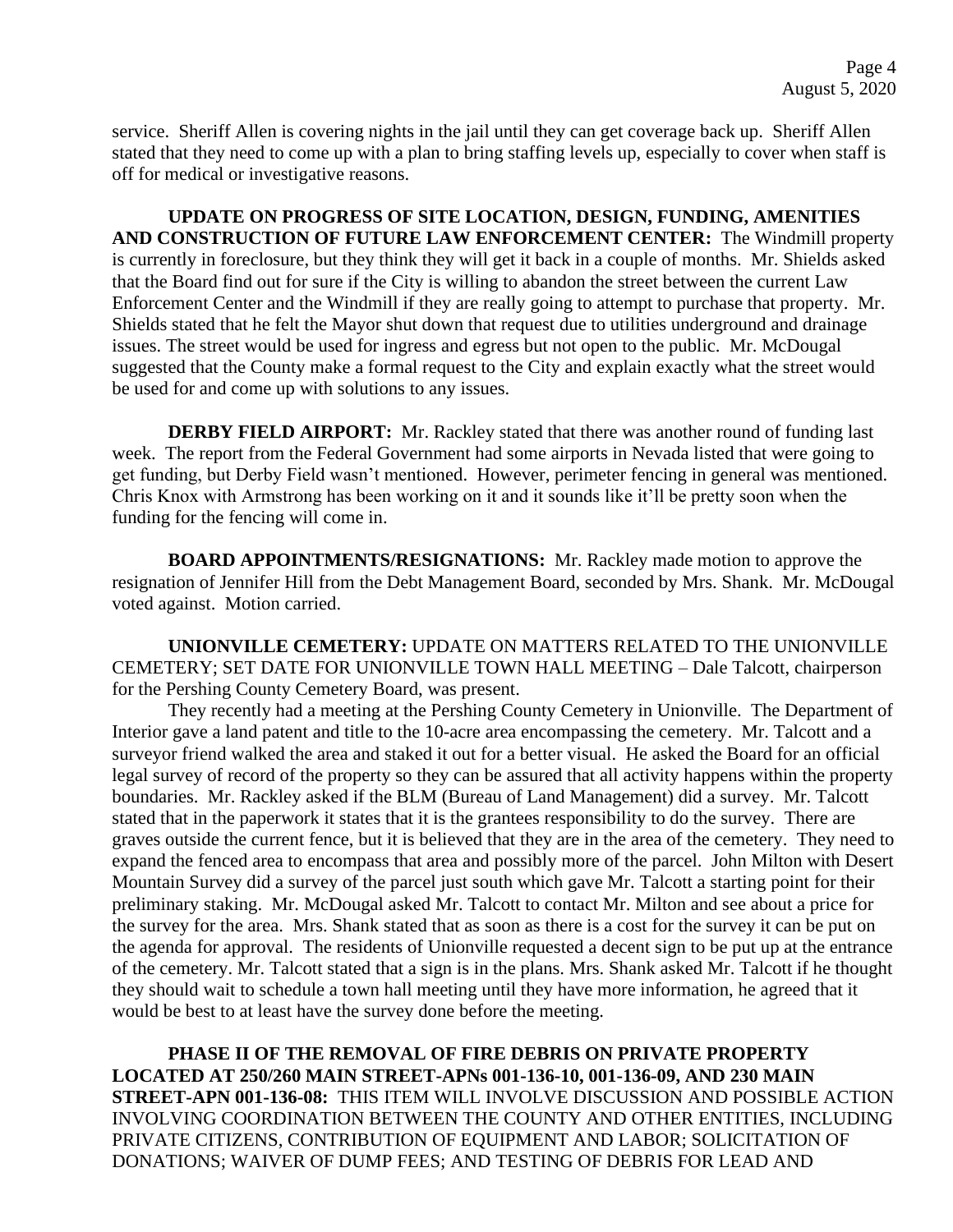service. Sheriff Allen is covering nights in the jail until they can get coverage back up. Sheriff Allen stated that they need to come up with a plan to bring staffing levels up, especially to cover when staff is off for medical or investigative reasons.

**UPDATE ON PROGRESS OF SITE LOCATION, DESIGN, FUNDING, AMENITIES AND CONSTRUCTION OF FUTURE LAW ENFORCEMENT CENTER:** The Windmill property is currently in foreclosure, but they think they will get it back in a couple of months. Mr. Shields asked that the Board find out for sure if the City is willing to abandon the street between the current Law Enforcement Center and the Windmill if they are really going to attempt to purchase that property. Mr. Shields stated that he felt the Mayor shut down that request due to utilities underground and drainage issues. The street would be used for ingress and egress but not open to the public. Mr. McDougal suggested that the County make a formal request to the City and explain exactly what the street would be used for and come up with solutions to any issues.

**DERBY FIELD AIRPORT:** Mr. Rackley stated that there was another round of funding last week. The report from the Federal Government had some airports in Nevada listed that were going to get funding, but Derby Field wasn't mentioned. However, perimeter fencing in general was mentioned. Chris Knox with Armstrong has been working on it and it sounds like it'll be pretty soon when the funding for the fencing will come in.

**BOARD APPOINTMENTS/RESIGNATIONS:** Mr. Rackley made motion to approve the resignation of Jennifer Hill from the Debt Management Board, seconded by Mrs. Shank. Mr. McDougal voted against. Motion carried.

**UNIONVILLE CEMETERY:** UPDATE ON MATTERS RELATED TO THE UNIONVILLE CEMETERY; SET DATE FOR UNIONVILLE TOWN HALL MEETING – Dale Talcott, chairperson for the Pershing County Cemetery Board, was present.

They recently had a meeting at the Pershing County Cemetery in Unionville. The Department of Interior gave a land patent and title to the 10-acre area encompassing the cemetery. Mr. Talcott and a surveyor friend walked the area and staked it out for a better visual. He asked the Board for an official legal survey of record of the property so they can be assured that all activity happens within the property boundaries. Mr. Rackley asked if the BLM (Bureau of Land Management) did a survey. Mr. Talcott stated that in the paperwork it states that it is the grantees responsibility to do the survey. There are graves outside the current fence, but it is believed that they are in the area of the cemetery. They need to expand the fenced area to encompass that area and possibly more of the parcel. John Milton with Desert Mountain Survey did a survey of the parcel just south which gave Mr. Talcott a starting point for their preliminary staking. Mr. McDougal asked Mr. Talcott to contact Mr. Milton and see about a price for the survey for the area. Mrs. Shank stated that as soon as there is a cost for the survey it can be put on the agenda for approval. The residents of Unionville requested a decent sign to be put up at the entrance of the cemetery. Mr. Talcott stated that a sign is in the plans. Mrs. Shank asked Mr. Talcott if he thought they should wait to schedule a town hall meeting until they have more information, he agreed that it would be best to at least have the survey done before the meeting.

**PHASE II OF THE REMOVAL OF FIRE DEBRIS ON PRIVATE PROPERTY LOCATED AT 250/260 MAIN STREET-APNs 001-136-10, 001-136-09, AND 230 MAIN STREET-APN 001-136-08:** THIS ITEM WILL INVOLVE DISCUSSION AND POSSIBLE ACTION INVOLVING COORDINATION BETWEEN THE COUNTY AND OTHER ENTITIES, INCLUDING PRIVATE CITIZENS, CONTRIBUTION OF EQUIPMENT AND LABOR; SOLICITATION OF DONATIONS; WAIVER OF DUMP FEES; AND TESTING OF DEBRIS FOR LEAD AND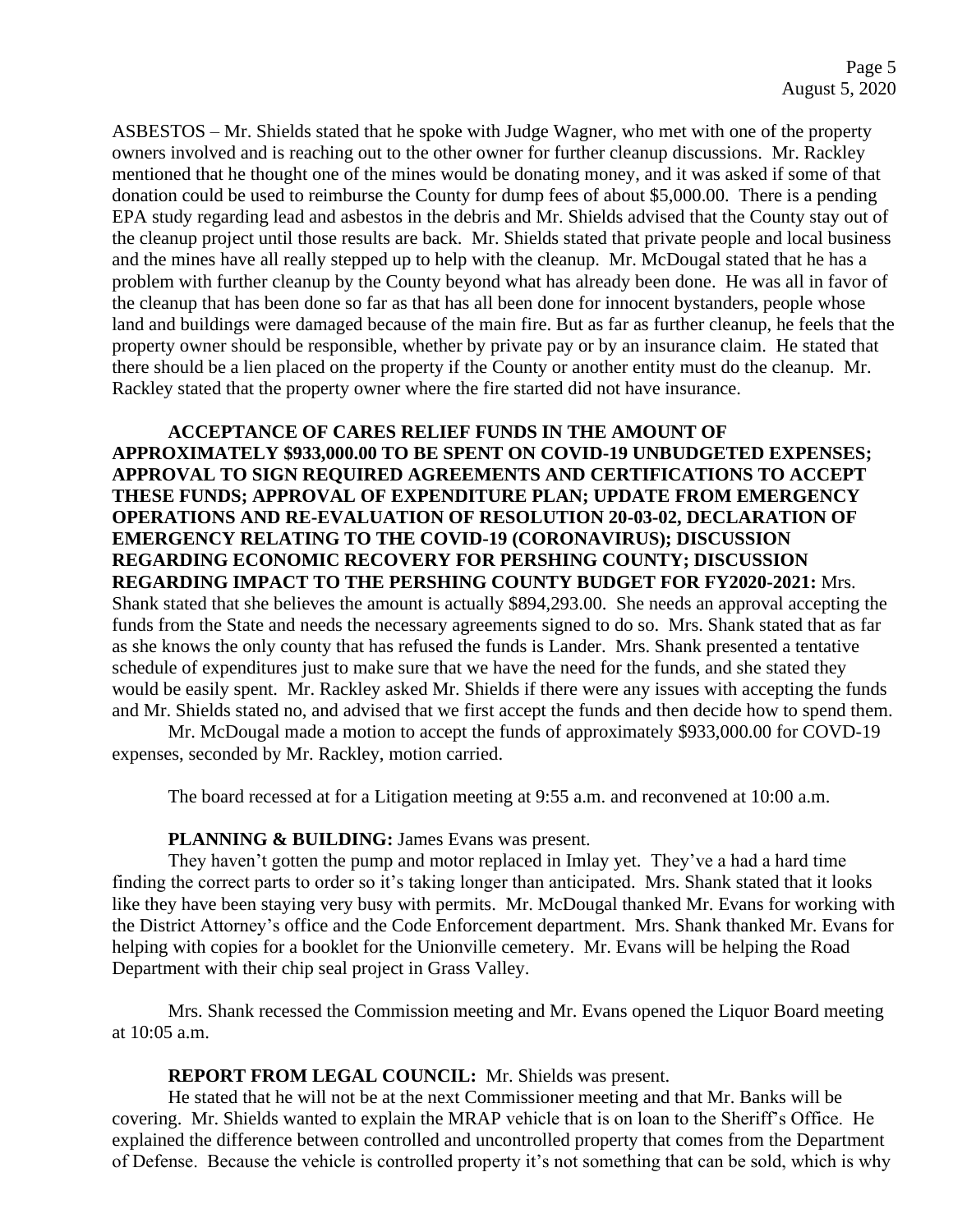ASBESTOS – Mr. Shields stated that he spoke with Judge Wagner, who met with one of the property owners involved and is reaching out to the other owner for further cleanup discussions. Mr. Rackley mentioned that he thought one of the mines would be donating money, and it was asked if some of that donation could be used to reimburse the County for dump fees of about \$5,000.00. There is a pending EPA study regarding lead and asbestos in the debris and Mr. Shields advised that the County stay out of the cleanup project until those results are back. Mr. Shields stated that private people and local business and the mines have all really stepped up to help with the cleanup. Mr. McDougal stated that he has a problem with further cleanup by the County beyond what has already been done. He was all in favor of the cleanup that has been done so far as that has all been done for innocent bystanders, people whose land and buildings were damaged because of the main fire. But as far as further cleanup, he feels that the property owner should be responsible, whether by private pay or by an insurance claim. He stated that there should be a lien placed on the property if the County or another entity must do the cleanup. Mr. Rackley stated that the property owner where the fire started did not have insurance.

**ACCEPTANCE OF CARES RELIEF FUNDS IN THE AMOUNT OF APPROXIMATELY \$933,000.00 TO BE SPENT ON COVID-19 UNBUDGETED EXPENSES; APPROVAL TO SIGN REQUIRED AGREEMENTS AND CERTIFICATIONS TO ACCEPT THESE FUNDS; APPROVAL OF EXPENDITURE PLAN; UPDATE FROM EMERGENCY OPERATIONS AND RE-EVALUATION OF RESOLUTION 20-03-02, DECLARATION OF EMERGENCY RELATING TO THE COVID-19 (CORONAVIRUS); DISCUSSION REGARDING ECONOMIC RECOVERY FOR PERSHING COUNTY; DISCUSSION REGARDING IMPACT TO THE PERSHING COUNTY BUDGET FOR FY2020-2021:** Mrs. Shank stated that she believes the amount is actually \$894,293.00. She needs an approval accepting the funds from the State and needs the necessary agreements signed to do so. Mrs. Shank stated that as far as she knows the only county that has refused the funds is Lander. Mrs. Shank presented a tentative schedule of expenditures just to make sure that we have the need for the funds, and she stated they would be easily spent. Mr. Rackley asked Mr. Shields if there were any issues with accepting the funds and Mr. Shields stated no, and advised that we first accept the funds and then decide how to spend them.

Mr. McDougal made a motion to accept the funds of approximately \$933,000.00 for COVD-19 expenses, seconded by Mr. Rackley, motion carried.

The board recessed at for a Litigation meeting at 9:55 a.m. and reconvened at 10:00 a.m.

## **PLANNING & BUILDING:** James Evans was present.

They haven't gotten the pump and motor replaced in Imlay yet. They've a had a hard time finding the correct parts to order so it's taking longer than anticipated. Mrs. Shank stated that it looks like they have been staying very busy with permits. Mr. McDougal thanked Mr. Evans for working with the District Attorney's office and the Code Enforcement department. Mrs. Shank thanked Mr. Evans for helping with copies for a booklet for the Unionville cemetery. Mr. Evans will be helping the Road Department with their chip seal project in Grass Valley.

Mrs. Shank recessed the Commission meeting and Mr. Evans opened the Liquor Board meeting at 10:05 a.m.

## **REPORT FROM LEGAL COUNCIL:** Mr. Shields was present.

He stated that he will not be at the next Commissioner meeting and that Mr. Banks will be covering. Mr. Shields wanted to explain the MRAP vehicle that is on loan to the Sheriff's Office. He explained the difference between controlled and uncontrolled property that comes from the Department of Defense. Because the vehicle is controlled property it's not something that can be sold, which is why